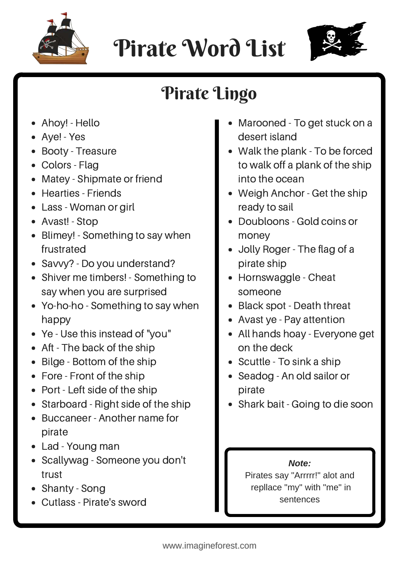

## Pirate Word List



## Pirate Lingo

- Ahoy! Hello
- Aye! Yes
- Booty Treasure
- Colors Flag
- Matey Shipmate or friend
- Hearties Friends
- Lass Woman or girl
- Avast! Stop
- Blimey! Something to say when frustrated
- Savvy? Do you understand?
- Shiver me timbers! Something to say when you are surprised
- Yo-ho-ho Something to say when happy
- Ye Use this instead of "you"
- Aft The back of the ship
- Bilge Bottom of the ship
- Fore Front of the ship
- Port Left side of the ship
- Starboard Right side of the ship
- Buccaneer Another name for pirate
- Lad Young man
- Scallywag Someone you don't trust
- Shanty Song
- Cutlass Pirate's sword
- Marooned To get stuck on a desert island
- Walk the plank To be forced to walk off a plank of the ship into the ocean
- Weigh Anchor Get the ship ready to sail
- Doubloons Gold coins or money
- Jolly Roger The flag of a pirate ship
- Hornswaggle Cheat someone
- Black spot Death threat
- Avast ye Pay attention
- All hands hoay Everyone get on the deck
- Scuttle To sink a ship
- Seadog An old sailor or pirate
- Shark bait Going to die soon

## *Note:*

Pirates say "Arrrrr!" alot and repllace "my" with "me" in sentences